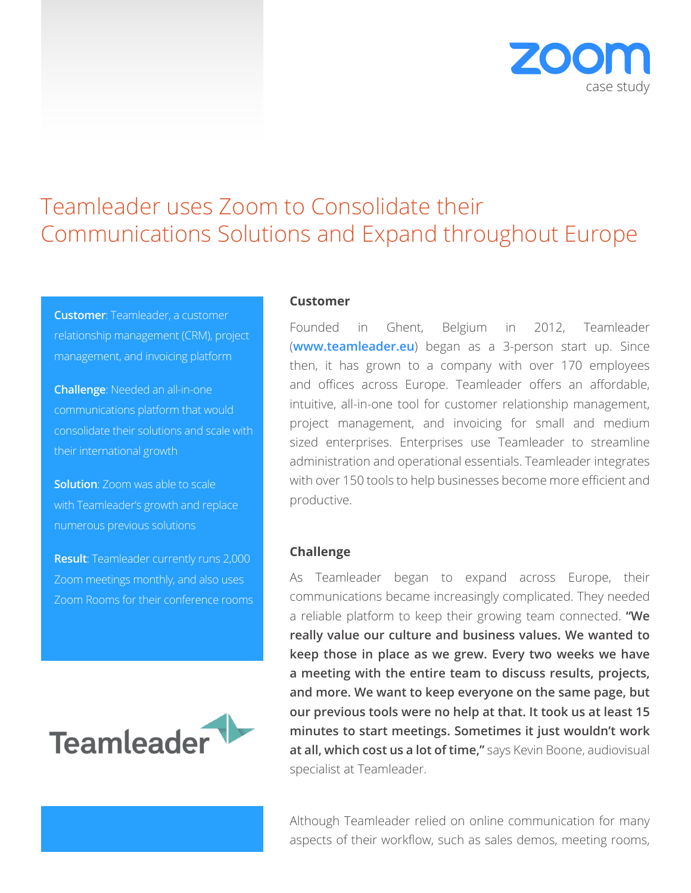

# Teamleader uses Zoom to Consolidate their Communications Solutions and Expand throughout Europe

**Customer**: Teamleader, a customer relationship management (CRM), project management, and invoicing platform

**Challenge**: Needed an all-in-one communications platform that would consolidate their solutions and scale with their international growth

**Solution**: Zoom was able to scale with Teamleader's growth and replace numerous previous solutions

**Result**: Teamleader currently runs 2,000 Zoom meetings monthly, and also uses Zoom Rooms for their conference rooms



## **Customer**

Founded in Ghent, Belgium in 2012, Teamleader (**www.teamleader.eu**) began as a 3-person start up. Since then, it has grown to a company with over 170 employees and offices across Europe. Teamleader offers an affordable, intuitive, all-in-one tool for customer relationship management, project management, and invoicing for small and medium sized enterprises. Enterprises use Teamleader to streamline administration and operational essentials. Teamleader integrates with over 150 tools to help businesses become more efficient and productive.

# **Challenge**

As Teamleader began to expand across Europe, their communications became increasingly complicated. They needed a reliable platform to keep their growing team connected. **"We really value our culture and business values. We wanted to keep those in place as we grew. Every two weeks we have a meeting with the entire team to discuss results, projects, and more. We want to keep everyone on the same page, but our previous tools were no help at that. It took us at least 15 minutes to start meetings. Sometimes it just wouldn't work at all, which cost us a lot of time,"** says Kevin Boone, audiovisual specialist at Teamleader.

Although Teamleader relied on online communication for many aspects of their workflow, such as sales demos, meeting rooms,